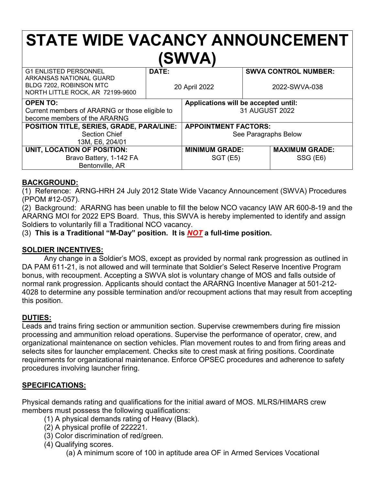# **STATE WIDE VACANCY ANNOUNCEMENT (SWVA)**

| <b>G1 ENLISTED PERSONNEL</b><br>ARKANSAS NATIONAL GUARD     | DATE:         |                                      |               | <b>SWVA CONTROL NUMBER:</b> |
|-------------------------------------------------------------|---------------|--------------------------------------|---------------|-----------------------------|
| BLDG 7202, ROBINSON MTC<br>NORTH LITTLE ROCK, AR 72199-9600 | 20 April 2022 |                                      | 2022-SWVA-038 |                             |
| <b>OPEN TO:</b>                                             |               | Applications will be accepted until: |               |                             |
| Current members of ARARNG or those eligible to              |               | 31 AUGUST 2022                       |               |                             |
| become members of the ARARNG                                |               |                                      |               |                             |
| POSITION TITLE, SERIES, GRADE, PARA/LINE:                   |               | <b>APPOINTMENT FACTORS:</b>          |               |                             |
| <b>Section Chief</b>                                        |               | See Paragraphs Below                 |               |                             |
| 13M, E6, 204/01                                             |               |                                      |               |                             |
| UNIT, LOCATION OF POSITION:                                 |               | <b>MINIMUM GRADE:</b>                |               | <b>MAXIMUM GRADE:</b>       |
| Bravo Battery, 1-142 FA                                     |               | <b>SGT (E5)</b>                      |               | SSG (E6)                    |
| Bentonville, AR                                             |               |                                      |               |                             |

### **BACKGROUND:**

(1) Reference: ARNG-HRH 24 July 2012 State Wide Vacancy Announcement (SWVA) Procedures (PPOM #12-057).

(2) Background: ARARNG has been unable to fill the below NCO vacancy IAW AR 600-8-19 and the ARARNG MOI for 2022 EPS Board. Thus, this SWVA is hereby implemented to identify and assign Soldiers to voluntarily fill a Traditional NCO vacancy.

(3) **This is a Traditional "M-Day" position. It is** *NOT* **a full-time position.**

### **SOLDIER INCENTIVES:**

Any change in a Soldier's MOS, except as provided by normal rank progression as outlined in DA PAM 611-21, is not allowed and will terminate that Soldier's Select Reserve Incentive Program bonus, with recoupment. Accepting a SWVA slot is voluntary change of MOS and falls outside of normal rank progression. Applicants should contact the ARARNG Incentive Manager at 501-212- 4028 to determine any possible termination and/or recoupment actions that may result from accepting this position.

### **DUTIES:**

Leads and trains firing section or ammunition section. Supervise crewmembers during fire mission processing and ammunition reload operations. Supervise the performance of operator, crew, and organizational maintenance on section vehicles. Plan movement routes to and from firing areas and selects sites for launcher emplacement. Checks site to crest mask at firing positions. Coordinate requirements for organizational maintenance. Enforce OPSEC procedures and adherence to safety procedures involving launcher firing.

### **SPECIFICATIONS:**

Physical demands rating and qualifications for the initial award of MOS. MLRS/HIMARS crew members must possess the following qualifications:

- (1) A physical demands rating of Heavy (Black).
- (2) A physical profile of 222221.
- (3) Color discrimination of red/green.
- (4) Qualifying scores.

(a) A minimum score of 100 in aptitude area OF in Armed Services Vocational